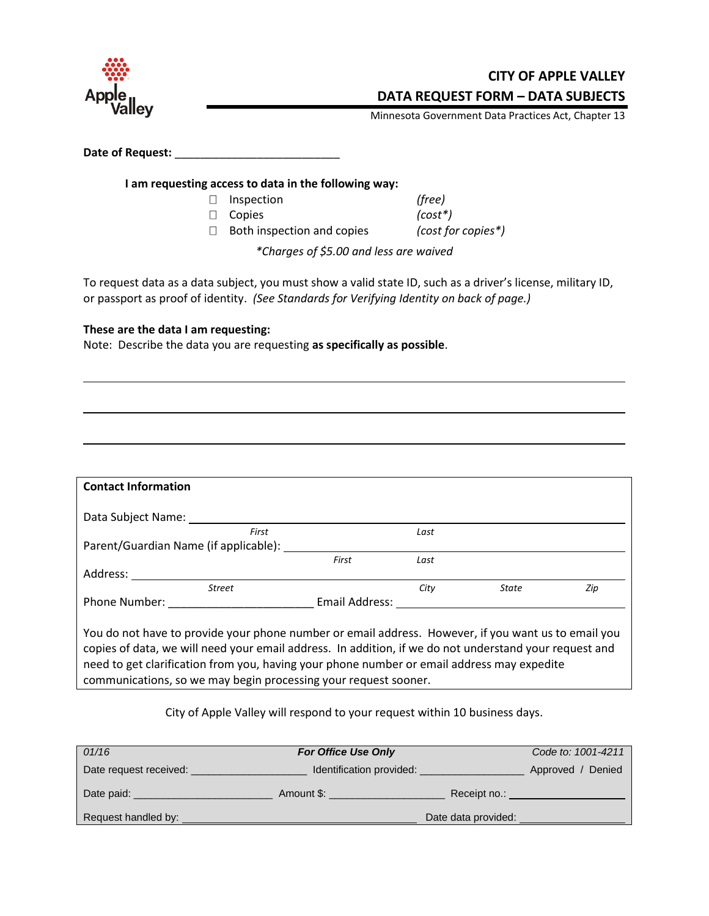

**CITY OF APPLE VALLEY DATA REQUEST FORM – DATA SUBJECTS**

Minnesota Government Data Practices Act, Chapter 13

Date of Request: **\_\_\_\_\_\_\_\_\_\_\_\_\_\_\_\_\_\_\_\_\_\_\_\_\_\_\_\_\_\_** 

**I am requesting access to data in the following way:**

- Inspection *(free)*
- Copies *(cost\*)*

Both inspection and copies *(cost for copies\*)*

*\*Charges of \$5.00 and less are waived*

To request data as a data subject, you must show a valid state ID, such as a driver's license, military ID, or passport as proof of identity. *(See Standards for Verifying Identity on back of page.)*

## **These are the data I am requesting:**

Note: Describe the data you are requesting **as specifically as possible**.

| <b>Contact Information</b>                                                                                                                                                                                                                                                                                  |                |      |              |     |
|-------------------------------------------------------------------------------------------------------------------------------------------------------------------------------------------------------------------------------------------------------------------------------------------------------------|----------------|------|--------------|-----|
| Data Subject Name:                                                                                                                                                                                                                                                                                          |                |      |              |     |
| First                                                                                                                                                                                                                                                                                                       |                | Last |              |     |
| Parent/Guardian Name (if applicable): ____                                                                                                                                                                                                                                                                  |                |      |              |     |
|                                                                                                                                                                                                                                                                                                             | First          | Last |              |     |
| Address:                                                                                                                                                                                                                                                                                                    |                |      |              |     |
| <b>Street</b>                                                                                                                                                                                                                                                                                               |                | City | <b>State</b> | Zip |
| Phone Number:                                                                                                                                                                                                                                                                                               | Email Address: |      |              |     |
| You do not have to provide your phone number or email address. However, if you want us to email you<br>copies of data, we will need your email address. In addition, if we do not understand your request and<br>need to get clarification from you, having your phone number or email address may expedite |                |      |              |     |

communications, so we may begin processing your request sooner.

City of Apple Valley will respond to your request within 10 business days.

| 01/16                  | <b>For Office Use Only</b> | Code to: 1001-4211   |  |
|------------------------|----------------------------|----------------------|--|
| Date request received: | Identification provided:   | Approved /<br>Denied |  |
| Date paid:             | Amount \$:                 | Receipt no.:         |  |
| Request handled by:    | Date data provided:        |                      |  |